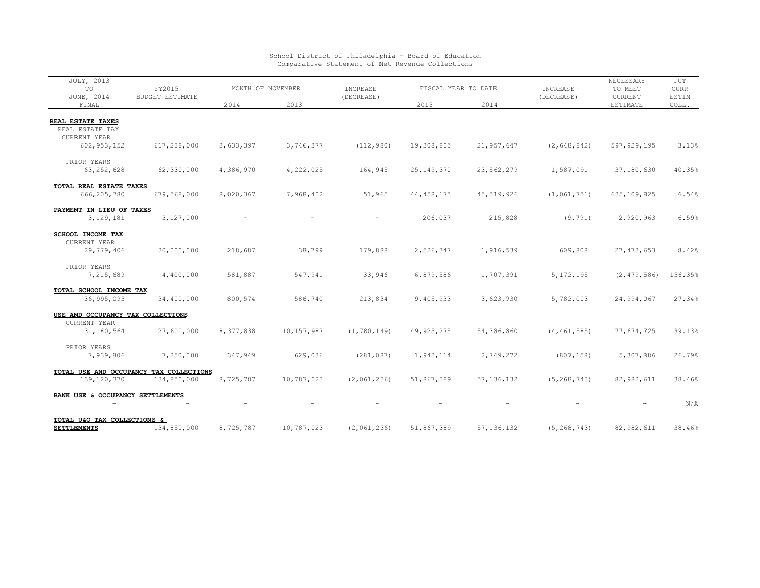| JULY, 2013                                                  |                                                        |                          |            |               |                     |              |               | NECESSARY     | PCT          |
|-------------------------------------------------------------|--------------------------------------------------------|--------------------------|------------|---------------|---------------------|--------------|---------------|---------------|--------------|
| TO                                                          | FY2015                                                 | MONTH OF NOVEMBER        |            | INCREASE      | FISCAL YEAR TO DATE |              | INCREASE      | TO MEET       | ${\tt CURR}$ |
| JUNE, 2014                                                  | <b>BUDGET ESTIMATE</b>                                 |                          |            | (DECREASE)    |                     |              | (DECREASE)    | CURRENT       | ESTIM        |
| FINAL                                                       |                                                        | 2014                     | 2013       |               | 2015                | 2014         |               | ESTIMATE      | COLL.        |
| <b>REAL ESTATE TAXES</b><br>REAL ESTATE TAX<br>CURRENT YEAR |                                                        |                          |            |               |                     |              |               |               |              |
| 602, 953, 152<br>PRIOR YEARS                                | 617,238,000                                            | 3,633,397                | 3,746,377  | (112, 980)    | 19,308,805          | 21,957,647   | (2, 648, 842) | 597, 929, 195 | 3.13%        |
| 63, 252, 628                                                | 62,330,000                                             | 4,386,970                | 4,222,025  | 164,945       | 25, 149, 370        | 23,562,279   | 1,587,091     | 37,180,630    | 40.35%       |
| TOTAL REAL ESTATE TAXES<br>666, 205, 780                    | 679,568,000                                            | 8,020,367                | 7,968,402  | 51,965        | 44, 458, 175        | 45,519,926   | (1, 061, 751) | 635, 109, 825 | 6.54%        |
| PAYMENT IN LIEU OF TAXES<br>3,129,181                       | 3,127,000                                              | $\overline{\phantom{a}}$ |            |               | 206,037             | 215,828      | (9, 791)      | 2,920,963     | 6.59%        |
| <b>SCHOOL INCOME TAX</b><br>CURRENT YEAR<br>29,779,406      | 30,000,000                                             | 218,687                  | 38,799     | 179,888       | 2,526,347           | 1,916,539    | 609,808       | 27, 473, 653  | 8.42%        |
| PRIOR YEARS<br>7,215,689                                    | 4,400,000                                              | 581,887                  | 547,941    | 33,946        | 6,879,586           | 1,707,391    | 5, 172, 195   | (2, 479, 586) | 156.35%      |
| TOTAL SCHOOL INCOME TAX<br>36,995,095                       | 34,400,000                                             | 800,574                  | 586,740    | 213,834       | 9,405,933           | 3,623,930    | 5,782,003     | 24,994,067    | 27.34%       |
| USE AND OCCUPANCY TAX COLLECTIONS                           |                                                        |                          |            |               |                     |              |               |               |              |
| CURRENT YEAR<br>131,180,564                                 | 127,600,000                                            | 8,377,838                | 10,157,987 | (1, 780, 149) | 49, 925, 275        | 54,386,860   | (4, 461, 585) | 77,674,725    | 39.13%       |
| PRIOR YEARS<br>7,939,806                                    | 7,250,000                                              | 347,949                  | 629,036    | (281, 087)    | 1,942,114           | 2,749,272    | (807, 158)    | 5,307,886     | 26.79%       |
| 139, 120, 370                                               | TOTAL USE AND OCCUPANCY TAX COLLECTIONS<br>134,850,000 | 8,725,787                | 10,787,023 | (2, 061, 236) | 51,867,389          | 57, 136, 132 | (5, 268, 743) | 82,982,611    | 38.46%       |
| BANK USE & OCCUPANCY SETTLEMENTS                            |                                                        |                          |            |               |                     |              |               |               | N/A          |
| TOTAL U&O TAX COLLECTIONS &<br><b>SETTLEMENTS</b>           | 134,850,000                                            | 8,725,787                | 10,787,023 | (2, 061, 236) | 51,867,389          | 57, 136, 132 | (5, 268, 743) | 82,982,611    | 38.46%       |

## School District of Philadelphia - Board of Education Comparative Statement of Net Revenue Collections